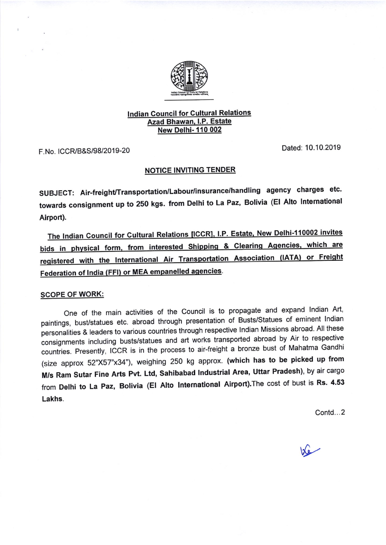

## lndian Council for GulturaI Relations Azad Bhawan. l.P. Estate **New Delhi- 110 002**

F. No. ICCF,/B&S 19812019-20 Dated: 10.10.2019

## **NOTICE INVITING TENDER**

SUBJECT: Air-freight/Transportation/Labour/insurance/handling agency charges etc. towards consignment up to 250 kgs. from Delhi to La Paz, Bolivia (El Alto lntemational Airport).

The Indian Council for Cultural Relations [ICCR], I.P. Estate, New Delhi-110002 invites bids in physical form, from interested Shipping & Clearing Agencies, which are registered with the International Air Transportation Association (IATA) or Freight Federation of India (FFI) or MEA empanelled agencies.

## SCOPE OF WORK:

One of the main activities of the Council is to propagate and expand Indian Art, paintings, bust/statues etc. abroad through presentation of Busts/Statues of eminent Indian personalities & leaders to various countries through respective Indian Missions abroad. All these consignments including busts/statues and art works transported abroad by Air to respective countries. Presently, ICCR is in the process to air-freight a bronze bust of Mahatma Gandhi (size approx 52"X57"x34"), weighing 250 kg approx. (which has to be picked up from M/s Ram Sutar Fine Arts Pvt. Ltd, Sahibabad lndustrial Area, Uttar Pradesh), by air cargo from Delhi to La Paz, Bolivia (El Alto lnternational Airport).The cost of bust is Rs. 4.53 Lakhs.

Contd...2

 $\sqrt{2}$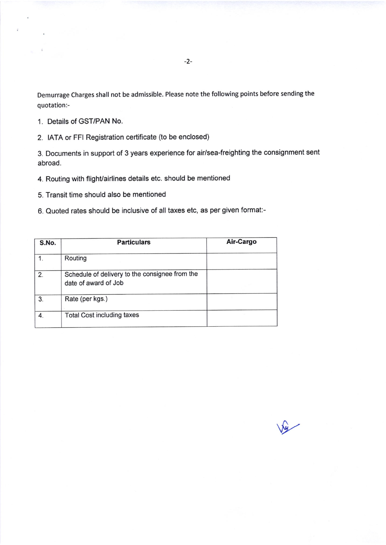- 1. Details of GST/PAN No.
- 2. IATA or FFI Registration certificate (to be enclosed)

3. Documents in support of 3 years experience for air/sea-freighting the consignment sent abroad.

- 4. Routing with flight/airlines details etc. should be mentioned
- 5. Transit time should also be mentioned
- 6. Quoted rates should be inclusive of all taxes etc, as per given format:-

| S.No. | <b>Particulars</b>                                                     | Air-Cargo |
|-------|------------------------------------------------------------------------|-----------|
|       | Routing                                                                |           |
| 2.    | Schedule of delivery to the consignee from the<br>date of award of Job |           |
| 3.    | Rate (per kgs.)                                                        |           |
| 4.    | <b>Total Cost including taxes</b>                                      |           |

 $\sqrt{2}$